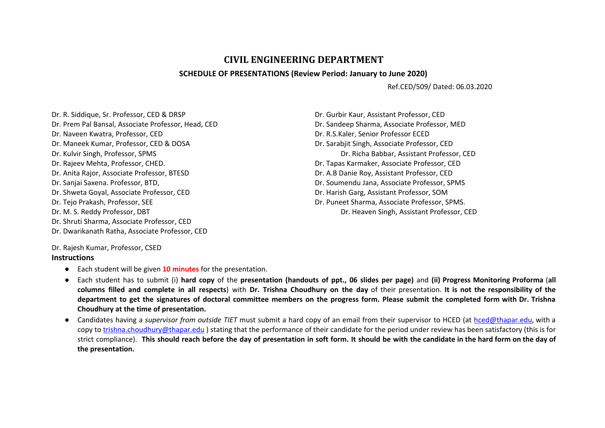## **CIVIL ENGINEERING DEPARTMENT**

## **SCHEDULE OF PRESENTATIONS (Review Period: January to June 2020)**

Ref.CED/509/ Dated: 06.03.2020

Dr. R. Siddique, Sr. Professor, CED & DRSP Dr. Prem Pal Bansal, Associate Professor, Head, CED Dr. Naveen Kwatra, Professor, CED Dr. Maneek Kumar, Professor, CED & DOSA Dr. Kulvir Singh, Professor, SPMS Dr. Rajeev Mehta, Professor, CHED. Dr. Anita Rajor, Associate Professor, BTESD Dr. Sanjai Saxena. Professor, BTD, Dr. Shweta Goyal, Associate Professor, CED Dr. Tejo Prakash, Professor, SEE Dr. M. S. Reddy Professor, DBT Dr. Shruti Sharma, Associate Professor, CED Dr. Dwarikanath Ratha, Associate Professor, CED

Dr. Gurbir Kaur, Assistant Professor, CED Dr. Sandeep Sharma, Associate Professor, MED Dr. R.S.Kaler, Senior Professor ECED Dr. Sarabjit Singh, Associate Professor, CED Dr. Richa Babbar, Assistant Professor, CED Dr. Tapas Karmaker, Associate Professor, CED Dr. A.B Danie Roy, Assistant Professor, CED Dr. Soumendu Jana, Associate Professor, SPMS Dr. Harish Garg, Assistant Professor, SOM Dr. Puneet Sharma, Associate Professor, SPMS. Dr. Heaven Singh, Assistant Professor, CED

Dr. Rajesh Kumar, Professor, CSED

## **Instructions**

- Each student will be given **10 minutes** for the presentation.
- Each student has to submit (i) hard copy of the presentation (handouts of ppt., 06 slides per page) and (ii) Progress Monitoring Proforma (all columns filled and complete in all respects) with Dr. Trishna Choudhury on the day of their presentation. It is not the responsibility of the department to get the signatures of doctoral committee members on the progress form. Please submit the completed form with Dr. Trishna **Choudhury at the time of presentation.**
- Candidates having a *supervisor from outside TIET* must submit a hard copy of an email from their supervisor to HCED (at [hced@thapar.edu](mailto:hced@thapar.edu), with a copy to [trishna.choudhury@thapar.edu](mailto:trishna.choudhury@thapar.edu) ) stating that the performance of their candidate for the period under review has been satisfactory (this is for strict compliance). This should reach before the day of presentation in soft form. It should be with the candidate in the hard form on the day of **the presentation.**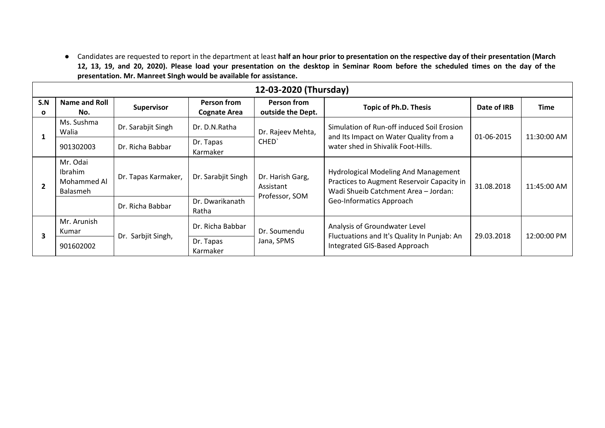• Candidates are requested to report in the department at least half an hour prior to presentation on the respective day of their presentation (March 12, 13, 19, and 20, 2020). Please load your presentation on the desktop in Seminar Room before the scheduled times on the day of the **presentation. Mr. Manreet SIngh would be available for assistance.**

| 12-03-2020 (Thursday) |                                                       |                                             |                                    |                                                 |                                                                                                                                                               |             |             |  |
|-----------------------|-------------------------------------------------------|---------------------------------------------|------------------------------------|-------------------------------------------------|---------------------------------------------------------------------------------------------------------------------------------------------------------------|-------------|-------------|--|
| S.N<br>$\Omega$       | <b>Name and Roll</b><br>No.                           | Supervisor                                  | Person from<br><b>Cognate Area</b> | Person from<br>outside the Dept.                | <b>Topic of Ph.D. Thesis</b>                                                                                                                                  | Date of IRB | Time        |  |
|                       | Ms. Sushma<br>Walia                                   | Dr. Sarabjit Singh                          | Dr. D.N.Ratha                      | Dr. Rajeev Mehta,<br>CHED <sup>'</sup>          | Simulation of Run-off induced Soil Erosion<br>and Its Impact on Water Quality from a<br>water shed in Shivalik Foot-Hills.                                    | 01-06-2015  | 11:30:00 AM |  |
|                       | 901302003                                             | Dr. Richa Babbar                            | Dr. Tapas<br>Karmaker              |                                                 |                                                                                                                                                               |             |             |  |
|                       | Mr. Odai<br>Ibrahim<br>Mohammed Al<br><b>Balasmeh</b> | Dr. Tapas Karmaker,                         | Dr. Sarabjit Singh                 | Dr. Harish Garg,<br>Assistant<br>Professor, SOM | <b>Hydrological Modeling And Management</b><br>Practices to Augment Reservoir Capacity in<br>Wadi Shueib Catchment Area - Jordan:<br>Geo-Informatics Approach | 31.08.2018  | 11:45:00 AM |  |
|                       |                                                       | Dr. Richa Babbar                            | Dr. Dwarikanath<br>Ratha           |                                                 |                                                                                                                                                               |             |             |  |
| 3                     | Mr. Arunish<br>Kumar                                  | Dr. Sarbjit Singh,<br>Dr. Tapas<br>Karmaker | Dr. Richa Babbar                   | Dr. Soumendu<br>Jana, SPMS                      | Analysis of Groundwater Level<br>Fluctuations and It's Quality In Punjab: An<br>Integrated GIS-Based Approach                                                 | 29.03.2018  | 12:00:00 PM |  |
|                       | 901602002                                             |                                             |                                    |                                                 |                                                                                                                                                               |             |             |  |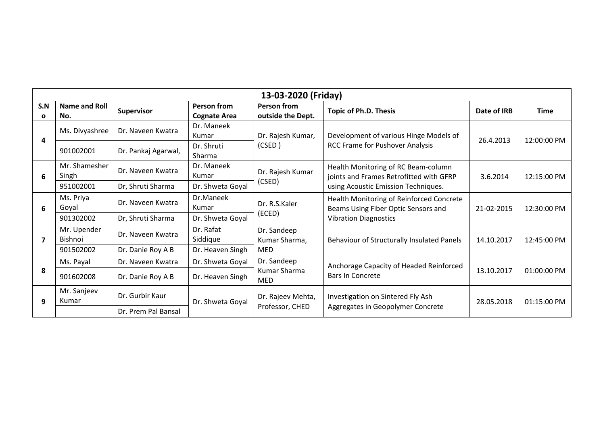| 13-03-2020 (Friday) |                               |                     |                                    |                                            |                                                                                                                       |             |             |  |
|---------------------|-------------------------------|---------------------|------------------------------------|--------------------------------------------|-----------------------------------------------------------------------------------------------------------------------|-------------|-------------|--|
| S.N<br>$\mathbf{o}$ | <b>Name and Roll</b><br>No.   | <b>Supervisor</b>   | Person from<br><b>Cognate Area</b> | Person from<br>outside the Dept.           | <b>Topic of Ph.D. Thesis</b>                                                                                          | Date of IRB | <b>Time</b> |  |
| 4                   | Ms. Divyashree                | Dr. Naveen Kwatra   | Dr. Maneek<br>Kumar                | Dr. Rajesh Kumar,<br>(CSED)                | Development of various Hinge Models of<br><b>RCC Frame for Pushover Analysis</b>                                      | 26.4.2013   | 12:00:00 PM |  |
|                     | 901002001                     | Dr. Pankaj Agarwal, | Dr. Shruti<br>Sharma               |                                            |                                                                                                                       |             |             |  |
| 6                   | Mr. Shamesher<br>Singh        | Dr. Naveen Kwatra   | Dr. Maneek<br>Kumar                | Dr. Rajesh Kumar<br>(CSED)                 | Health Monitoring of RC Beam-column<br>joints and Frames Retrofitted with GFRP<br>using Acoustic Emission Techniques. | 3.6.2014    | 12:15:00 PM |  |
|                     | 951002001                     | Dr, Shruti Sharma   | Dr. Shweta Goyal                   |                                            |                                                                                                                       |             |             |  |
| 6                   | Ms. Priya<br>Goyal            | Dr. Naveen Kwatra   | Dr.Maneek<br>Kumar                 | Dr. R.S.Kaler<br>(ECED)                    | Health Monitoring of Reinforced Concrete<br>Beams Using Fiber Optic Sensors and<br><b>Vibration Diagnostics</b>       | 21-02-2015  | 12:30:00 PM |  |
|                     | 901302002                     | Dr, Shruti Sharma   | Dr. Shweta Goyal                   |                                            |                                                                                                                       |             |             |  |
| 7                   | Mr. Upender<br><b>Bishnoi</b> | Dr. Naveen Kwatra   | Dr. Rafat<br>Siddique              | Dr. Sandeep<br>Kumar Sharma,<br><b>MED</b> | Behaviour of Structurally Insulated Panels                                                                            | 14.10.2017  | 12:45:00 PM |  |
|                     | 901502002                     | Dr. Danie Roy A B   | Dr. Heaven Singh                   |                                            |                                                                                                                       |             |             |  |
|                     | Ms. Payal                     | Dr. Naveen Kwatra   | Dr. Shweta Goyal                   | Dr. Sandeep<br>Kumar Sharma<br><b>MED</b>  | Anchorage Capacity of Headed Reinforced<br><b>Bars In Concrete</b>                                                    | 13.10.2017  | 01:00:00 PM |  |
| 8                   | 901602008                     | Dr. Danie Roy A B   | Dr. Heaven Singh                   |                                            |                                                                                                                       |             |             |  |
| 9                   | Mr. Sanjeev<br>Kumar          | Dr. Gurbir Kaur     | Dr. Shweta Goyal                   | Dr. Rajeev Mehta,                          | Investigation on Sintered Fly Ash<br>Aggregates in Geopolymer Concrete                                                | 28.05.2018  | 01:15:00 PM |  |
|                     |                               | Dr. Prem Pal Bansal |                                    | Professor, CHED                            |                                                                                                                       |             |             |  |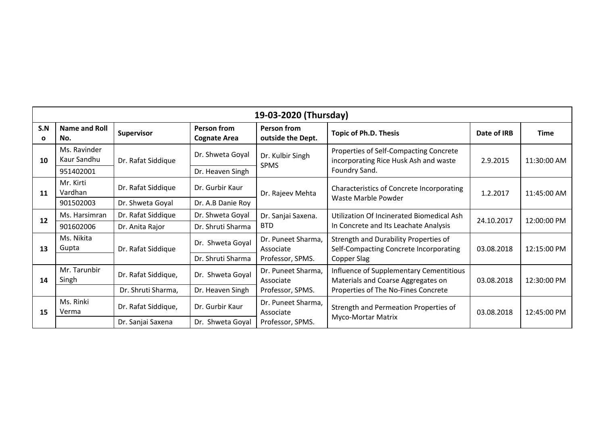| 19-03-2020 (Thursday) |                             |                     |                                           |                                                     |                                                                                                                      |             |             |  |
|-----------------------|-----------------------------|---------------------|-------------------------------------------|-----------------------------------------------------|----------------------------------------------------------------------------------------------------------------------|-------------|-------------|--|
| S.N<br>O              | <b>Name and Roll</b><br>No. | <b>Supervisor</b>   | <b>Person from</b><br><b>Cognate Area</b> | <b>Person from</b><br>outside the Dept.             | <b>Topic of Ph.D. Thesis</b>                                                                                         | Date of IRB | <b>Time</b> |  |
| 10                    | Ms. Ravinder<br>Kaur Sandhu | Dr. Rafat Siddique  | Dr. Shweta Goyal                          | Dr. Kulbir Singh<br><b>SPMS</b>                     | Properties of Self-Compacting Concrete<br>incorporating Rice Husk Ash and waste<br>Foundry Sand.                     | 2.9.2015    | 11:30:00 AM |  |
|                       | 951402001                   |                     | Dr. Heaven Singh                          |                                                     |                                                                                                                      |             |             |  |
| <b>11</b>             | Mr. Kirti<br>Vardhan        | Dr. Rafat Siddique  | Dr. Gurbir Kaur                           | Dr. Rajeev Mehta                                    | Characteristics of Concrete Incorporating<br>Waste Marble Powder                                                     | 1.2.2017    | 11:45:00 AM |  |
|                       | 901502003                   | Dr. Shweta Goyal    | Dr. A.B Danie Roy                         |                                                     |                                                                                                                      |             |             |  |
| 12                    | Ms. Harsimran               | Dr. Rafat Siddique  | Dr. Shweta Goyal                          | Dr. Sanjai Saxena.<br><b>BTD</b>                    | Utilization Of Incinerated Biomedical Ash<br>In Concrete and Its Leachate Analysis                                   | 24.10.2017  | 12:00:00 PM |  |
|                       | 901602006                   | Dr. Anita Rajor     | Dr. Shruti Sharma                         |                                                     |                                                                                                                      |             |             |  |
| 13                    | Ms. Nikita<br>Gupta         | Dr. Rafat Siddique  | Dr. Shweta Goyal                          | Dr. Puneet Sharma,<br>Associate                     | Strength and Durability Properties of<br>Self-Compacting Concrete Incorporating                                      | 03.08.2018  | 12:15:00 PM |  |
|                       |                             |                     | Dr. Shruti Sharma                         | Professor, SPMS.                                    | Copper Slag                                                                                                          |             |             |  |
| 14                    | Mr. Tarunbir<br>Singh       | Dr. Rafat Siddique, | Dr. Shweta Goyal                          | Dr. Puneet Sharma,<br>Associate<br>Professor, SPMS. | Influence of Supplementary Cementitious<br>Materials and Coarse Aggregates on<br>Properties of The No-Fines Concrete | 03.08.2018  | 12:30:00 PM |  |
|                       |                             | Dr. Shruti Sharma,  | Dr. Heaven Singh                          |                                                     |                                                                                                                      |             |             |  |
| 15                    | Ms. Rinki<br>Verma          | Dr. Rafat Siddique, | Dr. Gurbir Kaur                           | Dr. Puneet Sharma,<br>Associate<br>Professor, SPMS. | Strength and Permeation Properties of<br>Myco-Mortar Matrix                                                          | 03.08.2018  | 12:45:00 PM |  |
|                       |                             | Dr. Sanjai Saxena   | Dr. Shweta Goyal                          |                                                     |                                                                                                                      |             |             |  |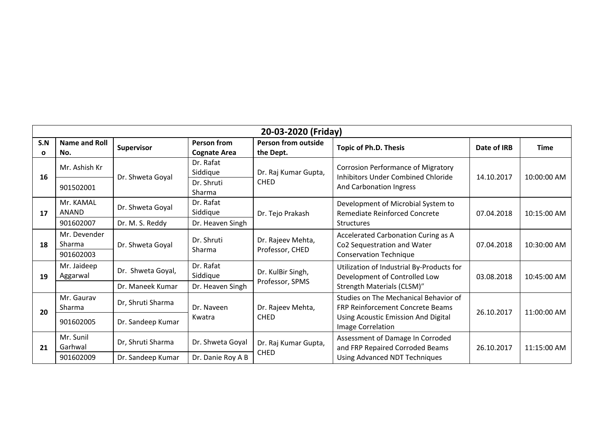| S.N | <b>Name and Roll</b>                           |                                                             |                                                     |                                         | 20-03-2020 (Friday)                                                                                                              |             |             |
|-----|------------------------------------------------|-------------------------------------------------------------|-----------------------------------------------------|-----------------------------------------|----------------------------------------------------------------------------------------------------------------------------------|-------------|-------------|
| C   | No.                                            | Supervisor                                                  | <b>Person from</b><br><b>Cognate Area</b>           | <b>Person from outside</b><br>the Dept. | <b>Topic of Ph.D. Thesis</b>                                                                                                     | Date of IRB | <b>Time</b> |
| 16  | Mr. Ashish Kr<br>901502001                     | Dr. Shweta Goyal                                            | Dr. Rafat<br>Siddique<br>Dr. Shruti                 | Dr. Raj Kumar Gupta,<br><b>CHED</b>     | <b>Corrosion Performance of Migratory</b><br><b>Inhibitors Under Combined Chloride</b><br>And Carbonation Ingress                | 14.10.2017  | 10:00:00 AM |
| 17  | Mr. KAMAL<br><b>ANAND</b><br>901602007         | Dr. Shweta Goyal<br>Dr. M. S. Reddy                         | Sharma<br>Dr. Rafat<br>Siddique<br>Dr. Heaven Singh | Dr. Tejo Prakash                        | Development of Microbial System to<br>Remediate Reinforced Concrete<br><b>Structures</b>                                         | 07.04.2018  | 10:15:00 AM |
| 18  | Mr. Devender<br>Sharma<br>901602003            | Dr. Shweta Goyal                                            | Dr. Shruti<br>Sharma                                | Dr. Rajeev Mehta,<br>Professor, CHED    | Accelerated Carbonation Curing as A<br>Co2 Sequestration and Water<br><b>Conservation Technique</b>                              | 07.04.2018  | 10:30:00 AM |
| 19  | Mr. Jaideep<br>Aggarwal                        | Dr. Shweta Goyal,<br>Dr. Maneek Kumar                       | Dr. Rafat<br>Siddique<br>Dr. Heaven Singh           | Dr. KulBir Singh,<br>Professor, SPMS    | Utilization of Industrial By-Products for<br>Development of Controlled Low<br>Strength Materials (CLSM)"                         | 03.08.2018  | 10:45:00 AM |
| 20  | Mr. Gauray<br>Sharma                           | Dr, Shruti Sharma                                           | Dr. Naveen<br>Kwatra                                | Dr. Rajeev Mehta,<br><b>CHED</b>        | Studies on The Mechanical Behavior of<br><b>FRP Reinforcement Concrete Beams</b><br>Using Acoustic Emission And Digital          | 26.10.2017  | 11:00:00 AM |
| 21  | 901602005<br>Mr. Sunil<br>Garhwal<br>901602009 | Dr. Sandeep Kumar<br>Dr, Shruti Sharma<br>Dr. Sandeep Kumar | Dr. Shweta Goyal<br>Dr. Danie Roy A B               | Dr. Raj Kumar Gupta,<br><b>CHED</b>     | Image Correlation<br>Assessment of Damage In Corroded<br>and FRP Repaired Corroded Beams<br><b>Using Advanced NDT Techniques</b> | 26.10.2017  | 11:15:00 AM |